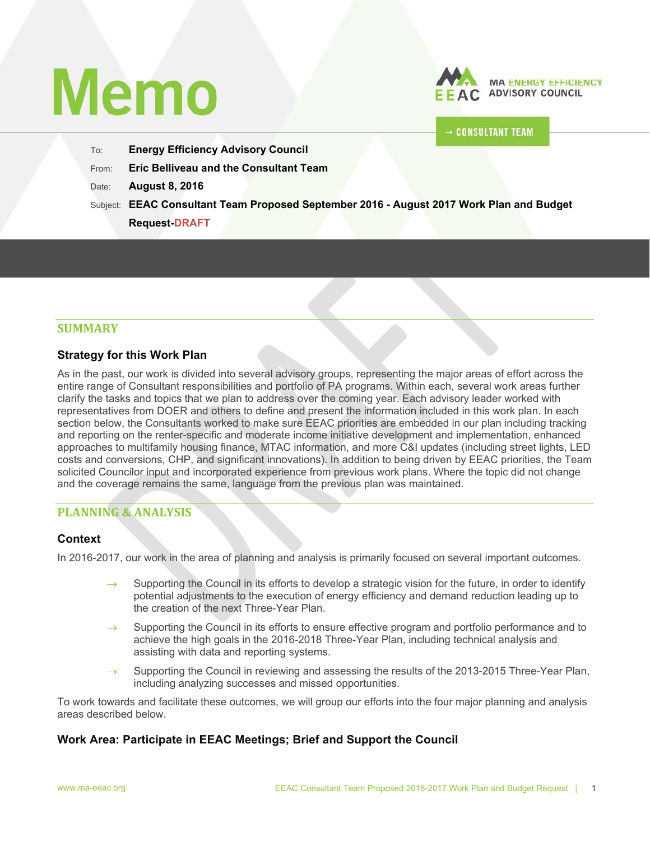# **Memo**



# **CONSULTANT TEAM**

- To: **Energy Efficiency Advisory Council**
- From: **Eric Belliveau and the Consultant Team**
- Date: **August 8, 2016**
- Subject: **EEAC Consultant Team Proposed September 2016 August 2017 Work Plan and Budget** 
	- **Request-DRAFT**

# **SUMMARY**

# **Strategy for this Work Plan**

As in the past, our work is divided into several advisory groups, representing the major areas of effort across the entire range of Consultant responsibilities and portfolio of PA programs. Within each, several work areas further clarify the tasks and topics that we plan to address over the coming year. Each advisory leader worked with representatives from DOER and others to define and present the information included in this work plan. In each section below, the Consultants worked to make sure EEAC priorities are embedded in our plan including tracking and reporting on the renter-specific and moderate income initiative development and implementation, enhanced approaches to multifamily housing finance, MTAC information, and more C&I updates (including street lights, LED costs and conversions, CHP, and significant innovations). In addition to being driven by EEAC priorities, the Team solicited Councilor input and incorporated experience from previous work plans. Where the topic did not change and the coverage remains the same, language from the previous plan was maintained.

# **PLANNING & ANALYSIS**

# **Context**

In 2016-2017, our work in the area of planning and analysis is primarily focused on several important outcomes.

- Supporting the Council in its efforts to develop a strategic vision for the future, in order to identify potential adjustments to the execution of energy efficiency and demand reduction leading up to the creation of the next Three-Year Plan.
- Supporting the Council in its efforts to ensure effective program and portfolio performance and to achieve the high goals in the 2016-2018 Three-Year Plan, including technical analysis and assisting with data and reporting systems.
- Supporting the Council in reviewing and assessing the results of the 2013-2015 Three-Year Plan, including analyzing successes and missed opportunities.

To work towards and facilitate these outcomes, we will group our efforts into the four major planning and analysis areas described below.

# **Work Area: Participate in EEAC Meetings; Brief and Support the Council**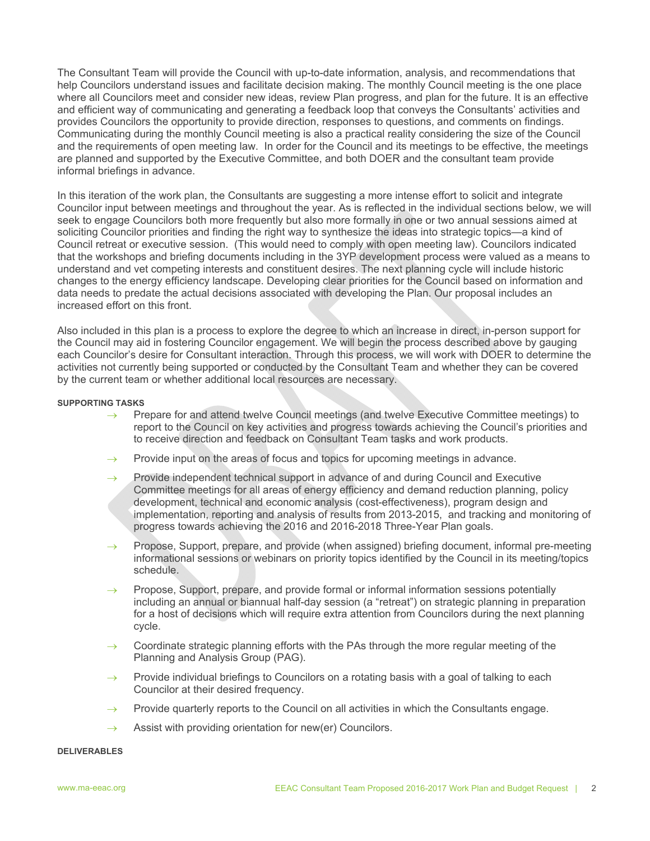The Consultant Team will provide the Council with up-to-date information, analysis, and recommendations that help Councilors understand issues and facilitate decision making. The monthly Council meeting is the one place where all Councilors meet and consider new ideas, review Plan progress, and plan for the future. It is an effective and efficient way of communicating and generating a feedback loop that conveys the Consultants' activities and provides Councilors the opportunity to provide direction, responses to questions, and comments on findings. Communicating during the monthly Council meeting is also a practical reality considering the size of the Council and the requirements of open meeting law. In order for the Council and its meetings to be effective, the meetings are planned and supported by the Executive Committee, and both DOER and the consultant team provide informal briefings in advance.

In this iteration of the work plan, the Consultants are suggesting a more intense effort to solicit and integrate Councilor input between meetings and throughout the year. As is reflected in the individual sections below, we will seek to engage Councilors both more frequently but also more formally in one or two annual sessions aimed at soliciting Councilor priorities and finding the right way to synthesize the ideas into strategic topics—a kind of Council retreat or executive session. (This would need to comply with open meeting law). Councilors indicated that the workshops and briefing documents including in the 3YP development process were valued as a means to understand and vet competing interests and constituent desires. The next planning cycle will include historic changes to the energy efficiency landscape. Developing clear priorities for the Council based on information and data needs to predate the actual decisions associated with developing the Plan. Our proposal includes an increased effort on this front.

Also included in this plan is a process to explore the degree to which an increase in direct, in-person support for the Council may aid in fostering Councilor engagement. We will begin the process described above by gauging each Councilor's desire for Consultant interaction. Through this process, we will work with DOER to determine the activities not currently being supported or conducted by the Consultant Team and whether they can be covered by the current team or whether additional local resources are necessary.

#### **SUPPORTING TASKS**

- $\rightarrow$  Prepare for and attend twelve Council meetings (and twelve Executive Committee meetings) to report to the Council on key activities and progress towards achieving the Council's priorities and to receive direction and feedback on Consultant Team tasks and work products.
- $\rightarrow$  Provide input on the areas of focus and topics for upcoming meetings in advance.
- $\rightarrow$  Provide independent technical support in advance of and during Council and Executive Committee meetings for all areas of energy efficiency and demand reduction planning, policy development, technical and economic analysis (cost-effectiveness), program design and implementation, reporting and analysis of results from 2013-2015, and tracking and monitoring of progress towards achieving the 2016 and 2016-2018 Three-Year Plan goals.
- $\rightarrow$  Propose, Support, prepare, and provide (when assigned) briefing document, informal pre-meeting informational sessions or webinars on priority topics identified by the Council in its meeting/topics schedule.
- $\rightarrow$  Propose, Support, prepare, and provide formal or informal information sessions potentially including an annual or biannual half-day session (a "retreat") on strategic planning in preparation for a host of decisions which will require extra attention from Councilors during the next planning cycle.
- Coordinate strategic planning efforts with the PAs through the more regular meeting of the Planning and Analysis Group (PAG).
- $\rightarrow$  Provide individual briefings to Councilors on a rotating basis with a goal of talking to each Councilor at their desired frequency.
- $\rightarrow$  Provide quarterly reports to the Council on all activities in which the Consultants engage.
- $\rightarrow$  Assist with providing orientation for new(er) Councilors.

#### **DELIVERABLES**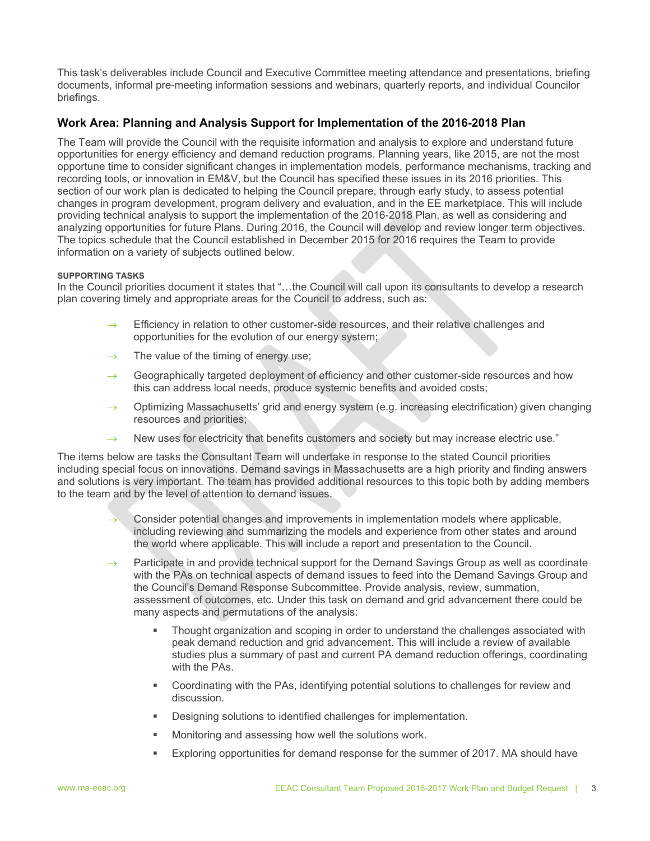This task's deliverables include Council and Executive Committee meeting attendance and presentations, briefing documents, informal pre-meeting information sessions and webinars, quarterly reports, and individual Councilor briefings.

# **Work Area: Planning and Analysis Support for Implementation of the 2016-2018 Plan**

The Team will provide the Council with the requisite information and analysis to explore and understand future opportunities for energy efficiency and demand reduction programs. Planning years, like 2015, are not the most opportune time to consider significant changes in implementation models, performance mechanisms, tracking and recording tools, or innovation in EM&V, but the Council has specified these issues in its 2016 priorities. This section of our work plan is dedicated to helping the Council prepare, through early study, to assess potential changes in program development, program delivery and evaluation, and in the EE marketplace. This will include providing technical analysis to support the implementation of the 2016-2018 Plan, as well as considering and analyzing opportunities for future Plans. During 2016, the Council will develop and review longer term objectives. The topics schedule that the Council established in December 2015 for 2016 requires the Team to provide information on a variety of subjects outlined below.

#### **SUPPORTING TASKS**

In the Council priorities document it states that "…the Council will call upon its consultants to develop a research plan covering timely and appropriate areas for the Council to address, such as:

- $\rightarrow$  Efficiency in relation to other customer-side resources, and their relative challenges and opportunities for the evolution of our energy system;
- $\rightarrow$  The value of the timing of energy use;
- $\rightarrow$  Geographically targeted deployment of efficiency and other customer-side resources and how this can address local needs, produce systemic benefits and avoided costs;
- $\rightarrow$  Optimizing Massachusetts' grid and energy system (e.g. increasing electrification) given changing resources and priorities;
- $\rightarrow$  New uses for electricity that benefits customers and society but may increase electric use."

The items below are tasks the Consultant Team will undertake in response to the stated Council priorities including special focus on innovations. Demand savings in Massachusetts are a high priority and finding answers and solutions is very important. The team has provided additional resources to this topic both by adding members to the team and by the level of attention to demand issues.

- Consider potential changes and improvements in implementation models where applicable, including reviewing and summarizing the models and experience from other states and around the world where applicable. This will include a report and presentation to the Council.
- $\rightarrow$  Participate in and provide technical support for the Demand Savings Group as well as coordinate with the PAs on technical aspects of demand issues to feed into the Demand Savings Group and the Council's Demand Response Subcommittee. Provide analysis, review, summation, assessment of outcomes, etc. Under this task on demand and grid advancement there could be many aspects and permutations of the analysis:
	- Thought organization and scoping in order to understand the challenges associated with peak demand reduction and grid advancement. This will include a review of available studies plus a summary of past and current PA demand reduction offerings, coordinating with the PAs.
	- Coordinating with the PAs, identifying potential solutions to challenges for review and discussion.
	- Designing solutions to identified challenges for implementation.
	- Monitoring and assessing how well the solutions work.
	- Exploring opportunities for demand response for the summer of 2017. MA should have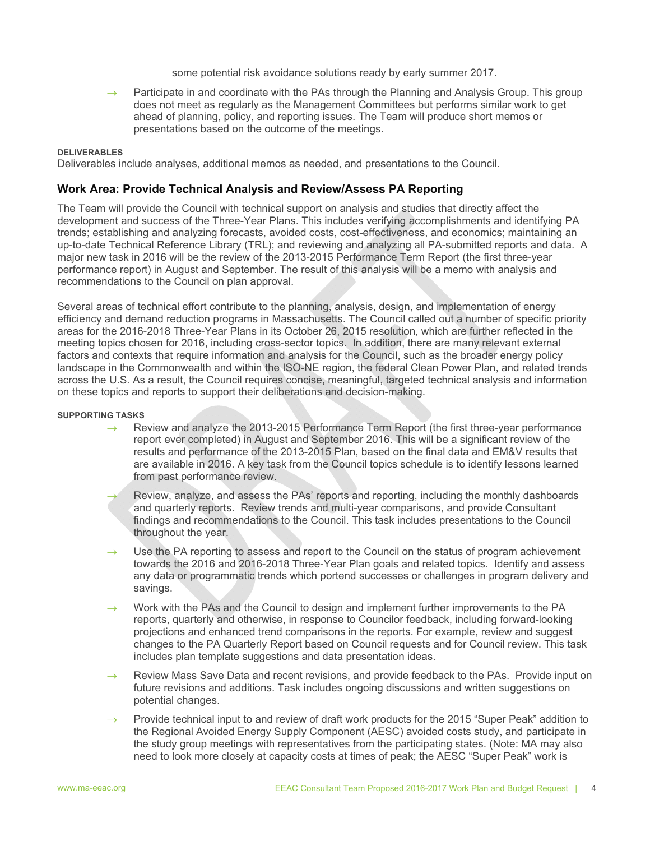some potential risk avoidance solutions ready by early summer 2017.

 Participate in and coordinate with the PAs through the Planning and Analysis Group. This group does not meet as regularly as the Management Committees but performs similar work to get ahead of planning, policy, and reporting issues. The Team will produce short memos or presentations based on the outcome of the meetings.

#### **DELIVERABLES**

Deliverables include analyses, additional memos as needed, and presentations to the Council.

#### **Work Area: Provide Technical Analysis and Review/Assess PA Reporting**

The Team will provide the Council with technical support on analysis and studies that directly affect the development and success of the Three-Year Plans. This includes verifying accomplishments and identifying PA trends; establishing and analyzing forecasts, avoided costs, cost-effectiveness, and economics; maintaining an up-to-date Technical Reference Library (TRL); and reviewing and analyzing all PA-submitted reports and data. A major new task in 2016 will be the review of the 2013-2015 Performance Term Report (the first three-year performance report) in August and September. The result of this analysis will be a memo with analysis and recommendations to the Council on plan approval.

Several areas of technical effort contribute to the planning, analysis, design, and implementation of energy efficiency and demand reduction programs in Massachusetts. The Council called out a number of specific priority areas for the 2016-2018 Three-Year Plans in its October 26, 2015 resolution, which are further reflected in the meeting topics chosen for 2016, including cross-sector topics. In addition, there are many relevant external factors and contexts that require information and analysis for the Council, such as the broader energy policy landscape in the Commonwealth and within the ISO-NE region, the federal Clean Power Plan, and related trends across the U.S. As a result, the Council requires concise, meaningful, targeted technical analysis and information on these topics and reports to support their deliberations and decision-making.

#### **SUPPORTING TASKS**

- Review and analyze the 2013-2015 Performance Term Report (the first three-year performance report ever completed) in August and September 2016. This will be a significant review of the results and performance of the 2013-2015 Plan, based on the final data and EM&V results that are available in 2016. A key task from the Council topics schedule is to identify lessons learned from past performance review.
- Review, analyze, and assess the PAs' reports and reporting, including the monthly dashboards and quarterly reports. Review trends and multi-year comparisons, and provide Consultant findings and recommendations to the Council. This task includes presentations to the Council throughout the year.
- Use the PA reporting to assess and report to the Council on the status of program achievement towards the 2016 and 2016-2018 Three-Year Plan goals and related topics. Identify and assess any data or programmatic trends which portend successes or challenges in program delivery and savings.
- Work with the PAs and the Council to design and implement further improvements to the PA reports, quarterly and otherwise, in response to Councilor feedback, including forward-looking projections and enhanced trend comparisons in the reports. For example, review and suggest changes to the PA Quarterly Report based on Council requests and for Council review. This task includes plan template suggestions and data presentation ideas.
- $\rightarrow$  Review Mass Save Data and recent revisions, and provide feedback to the PAs. Provide input on future revisions and additions. Task includes ongoing discussions and written suggestions on potential changes.
- $\rightarrow$  Provide technical input to and review of draft work products for the 2015 "Super Peak" addition to the Regional Avoided Energy Supply Component (AESC) avoided costs study, and participate in the study group meetings with representatives from the participating states. (Note: MA may also need to look more closely at capacity costs at times of peak; the AESC "Super Peak" work is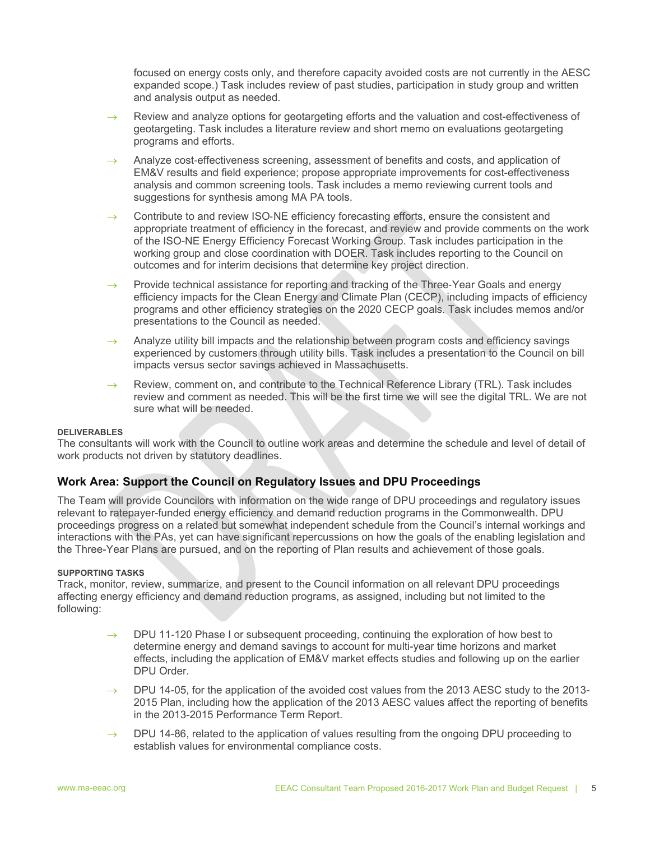focused on energy costs only, and therefore capacity avoided costs are not currently in the AESC expanded scope.) Task includes review of past studies, participation in study group and written and analysis output as needed.

- $\rightarrow$  Review and analyze options for geotargeting efforts and the valuation and cost-effectiveness of geotargeting. Task includes a literature review and short memo on evaluations geotargeting programs and efforts.
- $\rightarrow$  Analyze cost-effectiveness screening, assessment of benefits and costs, and application of EM&V results and field experience; propose appropriate improvements for cost-effectiveness analysis and common screening tools. Task includes a memo reviewing current tools and suggestions for synthesis among MA PA tools.
- $\rightarrow$  Contribute to and review ISO-NE efficiency forecasting efforts, ensure the consistent and appropriate treatment of efficiency in the forecast, and review and provide comments on the work of the ISO-NE Energy Efficiency Forecast Working Group. Task includes participation in the working group and close coordination with DOER. Task includes reporting to the Council on outcomes and for interim decisions that determine key project direction.
- $\rightarrow$  Provide technical assistance for reporting and tracking of the Three-Year Goals and energy efficiency impacts for the Clean Energy and Climate Plan (CECP), including impacts of efficiency programs and other efficiency strategies on the 2020 CECP goals. Task includes memos and/or presentations to the Council as needed.
- Analyze utility bill impacts and the relationship between program costs and efficiency savings experienced by customers through utility bills. Task includes a presentation to the Council on bill impacts versus sector savings achieved in Massachusetts.
- $\rightarrow$  Review, comment on, and contribute to the Technical Reference Library (TRL). Task includes review and comment as needed. This will be the first time we will see the digital TRL. We are not sure what will be needed.

#### **DELIVERABLES**

The consultants will work with the Council to outline work areas and determine the schedule and level of detail of work products not driven by statutory deadlines.

# **Work Area: Support the Council on Regulatory Issues and DPU Proceedings**

The Team will provide Councilors with information on the wide range of DPU proceedings and regulatory issues relevant to ratepayer-funded energy efficiency and demand reduction programs in the Commonwealth. DPU proceedings progress on a related but somewhat independent schedule from the Council's internal workings and interactions with the PAs, yet can have significant repercussions on how the goals of the enabling legislation and the Three-Year Plans are pursued, and on the reporting of Plan results and achievement of those goals.

#### **SUPPORTING TASKS**

Track, monitor, review, summarize, and present to the Council information on all relevant DPU proceedings affecting energy efficiency and demand reduction programs, as assigned, including but not limited to the following:

- $\rightarrow$  DPU 11-120 Phase I or subsequent proceeding, continuing the exploration of how best to determine energy and demand savings to account for multi-year time horizons and market effects, including the application of EM&V market effects studies and following up on the earlier DPU Order.
- $\rightarrow$  DPU 14-05, for the application of the avoided cost values from the 2013 AESC study to the 2013-2015 Plan, including how the application of the 2013 AESC values affect the reporting of benefits in the 2013-2015 Performance Term Report.
- $\rightarrow$  DPU 14-86, related to the application of values resulting from the ongoing DPU proceeding to establish values for environmental compliance costs.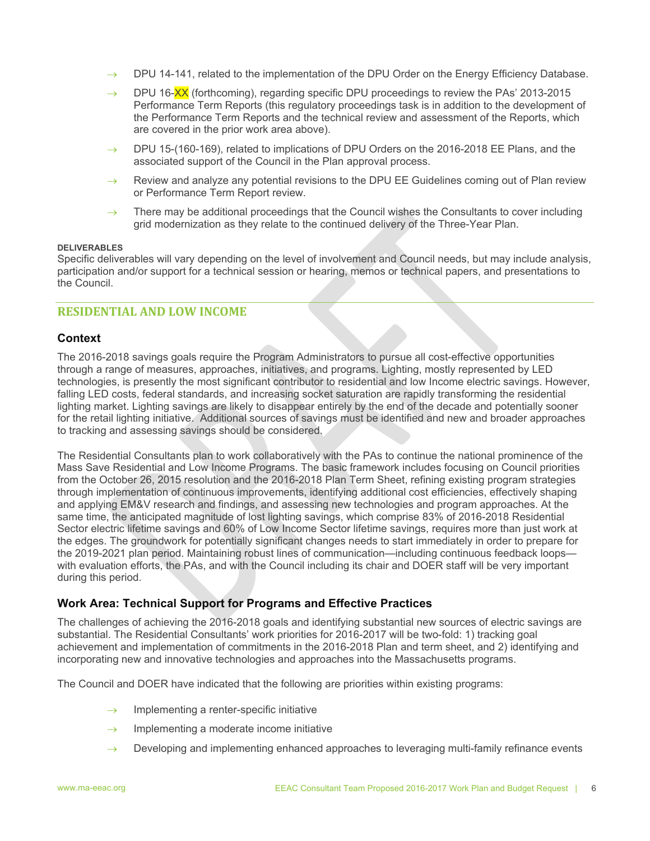- $\rightarrow$  DPU 14-141, related to the implementation of the DPU Order on the Energy Efficiency Database.
- DPU 16-XX (forthcoming), regarding specific DPU proceedings to review the PAs' 2013-2015 Performance Term Reports (this regulatory proceedings task is in addition to the development of the Performance Term Reports and the technical review and assessment of the Reports, which are covered in the prior work area above).
- $\rightarrow$  DPU 15-(160-169), related to implications of DPU Orders on the 2016-2018 EE Plans, and the associated support of the Council in the Plan approval process.
- $\rightarrow$  Review and analyze any potential revisions to the DPU EE Guidelines coming out of Plan review or Performance Term Report review.
- There may be additional proceedings that the Council wishes the Consultants to cover including grid modernization as they relate to the continued delivery of the Three-Year Plan.

#### **DELIVERABLES**

Specific deliverables will vary depending on the level of involvement and Council needs, but may include analysis, participation and/or support for a technical session or hearing, memos or technical papers, and presentations to the Council.

# **RESIDENTIAL AND LOW INCOME**

# **Context**

The 2016-2018 savings goals require the Program Administrators to pursue all cost-effective opportunities through a range of measures, approaches, initiatives, and programs. Lighting, mostly represented by LED technologies, is presently the most significant contributor to residential and low Income electric savings. However, falling LED costs, federal standards, and increasing socket saturation are rapidly transforming the residential lighting market. Lighting savings are likely to disappear entirely by the end of the decade and potentially sooner for the retail lighting initiative. Additional sources of savings must be identified and new and broader approaches to tracking and assessing savings should be considered.

The Residential Consultants plan to work collaboratively with the PAs to continue the national prominence of the Mass Save Residential and Low Income Programs. The basic framework includes focusing on Council priorities from the October 26, 2015 resolution and the 2016-2018 Plan Term Sheet, refining existing program strategies through implementation of continuous improvements, identifying additional cost efficiencies, effectively shaping and applying EM&V research and findings, and assessing new technologies and program approaches. At the same time, the anticipated magnitude of lost lighting savings, which comprise 83% of 2016-2018 Residential Sector electric lifetime savings and 60% of Low Income Sector lifetime savings, requires more than just work at the edges. The groundwork for potentially significant changes needs to start immediately in order to prepare for the 2019-2021 plan period. Maintaining robust lines of communication—including continuous feedback loops with evaluation efforts, the PAs, and with the Council including its chair and DOER staff will be very important during this period.

# **Work Area: Technical Support for Programs and Effective Practices**

The challenges of achieving the 2016-2018 goals and identifying substantial new sources of electric savings are substantial. The Residential Consultants' work priorities for 2016-2017 will be two-fold: 1) tracking goal achievement and implementation of commitments in the 2016-2018 Plan and term sheet, and 2) identifying and incorporating new and innovative technologies and approaches into the Massachusetts programs.

The Council and DOER have indicated that the following are priorities within existing programs:

- $\rightarrow$  Implementing a renter-specific initiative
- $\rightarrow$  Implementing a moderate income initiative
- Developing and implementing enhanced approaches to leveraging multi-family refinance events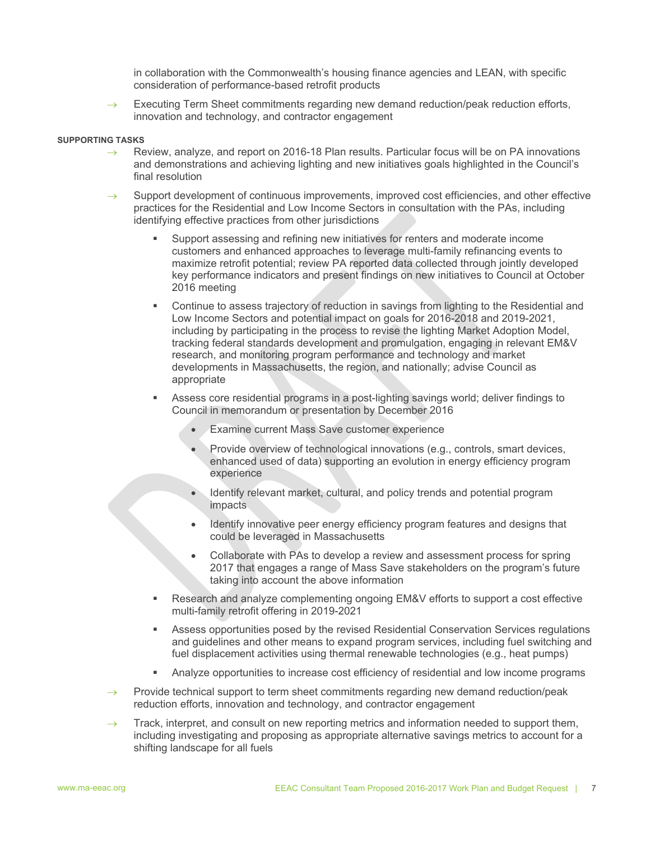in collaboration with the Commonwealth's housing finance agencies and LEAN, with specific consideration of performance-based retrofit products

 $\rightarrow$  Executing Term Sheet commitments regarding new demand reduction/peak reduction efforts, innovation and technology, and contractor engagement

#### **SUPPORTING TASKS**

- $\rightarrow$  Review, analyze, and report on 2016-18 Plan results. Particular focus will be on PA innovations and demonstrations and achieving lighting and new initiatives goals highlighted in the Council's final resolution
- Support development of continuous improvements, improved cost efficiencies, and other effective practices for the Residential and Low Income Sectors in consultation with the PAs, including identifying effective practices from other jurisdictions
	- Support assessing and refining new initiatives for renters and moderate income customers and enhanced approaches to leverage multi-family refinancing events to maximize retrofit potential; review PA reported data collected through jointly developed key performance indicators and present findings on new initiatives to Council at October 2016 meeting
	- Continue to assess trajectory of reduction in savings from lighting to the Residential and Low Income Sectors and potential impact on goals for 2016-2018 and 2019-2021, including by participating in the process to revise the lighting Market Adoption Model, tracking federal standards development and promulgation, engaging in relevant EM&V research, and monitoring program performance and technology and market developments in Massachusetts, the region, and nationally; advise Council as appropriate
	- Assess core residential programs in a post-lighting savings world; deliver findings to Council in memorandum or presentation by December 2016
		- Examine current Mass Save customer experience
		- Provide overview of technological innovations (e.g., controls, smart devices, enhanced used of data) supporting an evolution in energy efficiency program experience
		- Identify relevant market, cultural, and policy trends and potential program impacts
		- Identify innovative peer energy efficiency program features and designs that could be leveraged in Massachusetts
		- Collaborate with PAs to develop a review and assessment process for spring 2017 that engages a range of Mass Save stakeholders on the program's future taking into account the above information
	- Research and analyze complementing ongoing EM&V efforts to support a cost effective multi-family retrofit offering in 2019-2021
	- Assess opportunities posed by the revised Residential Conservation Services regulations and guidelines and other means to expand program services, including fuel switching and fuel displacement activities using thermal renewable technologies (e.g., heat pumps)
	- Analyze opportunities to increase cost efficiency of residential and low income programs
- $\rightarrow$  Provide technical support to term sheet commitments regarding new demand reduction/peak reduction efforts, innovation and technology, and contractor engagement
- $\rightarrow$  Track, interpret, and consult on new reporting metrics and information needed to support them, including investigating and proposing as appropriate alternative savings metrics to account for a shifting landscape for all fuels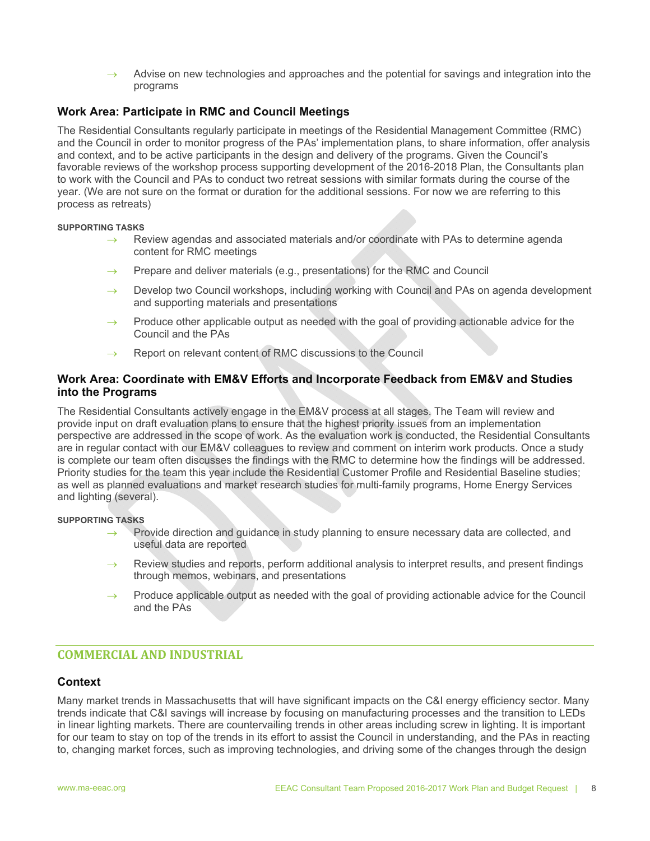$\rightarrow$  Advise on new technologies and approaches and the potential for savings and integration into the programs

# **Work Area: Participate in RMC and Council Meetings**

The Residential Consultants regularly participate in meetings of the Residential Management Committee (RMC) and the Council in order to monitor progress of the PAs' implementation plans, to share information, offer analysis and context, and to be active participants in the design and delivery of the programs. Given the Council's favorable reviews of the workshop process supporting development of the 2016-2018 Plan, the Consultants plan to work with the Council and PAs to conduct two retreat sessions with similar formats during the course of the year. (We are not sure on the format or duration for the additional sessions. For now we are referring to this process as retreats)

#### **SUPPORTING TASKS**

- $\rightarrow$  Review agendas and associated materials and/or coordinate with PAs to determine agenda content for RMC meetings
- $\rightarrow$  Prepare and deliver materials (e.g., presentations) for the RMC and Council
- $\rightarrow$  Develop two Council workshops, including working with Council and PAs on agenda development and supporting materials and presentations
- $\rightarrow$  Produce other applicable output as needed with the goal of providing actionable advice for the Council and the PAs
- Report on relevant content of RMC discussions to the Council

# **Work Area: Coordinate with EM&V Efforts and Incorporate Feedback from EM&V and Studies into the Programs**

The Residential Consultants actively engage in the EM&V process at all stages. The Team will review and provide input on draft evaluation plans to ensure that the highest priority issues from an implementation perspective are addressed in the scope of work. As the evaluation work is conducted, the Residential Consultants are in regular contact with our EM&V colleagues to review and comment on interim work products. Once a study is complete our team often discusses the findings with the RMC to determine how the findings will be addressed. Priority studies for the team this year include the Residential Customer Profile and Residential Baseline studies; as well as planned evaluations and market research studies for multi-family programs, Home Energy Services and lighting (several).

# **SUPPORTING TASKS**

- $\rightarrow$  Provide direction and guidance in study planning to ensure necessary data are collected, and useful data are reported
- $\rightarrow$  Review studies and reports, perform additional analysis to interpret results, and present findings through memos, webinars, and presentations
- $\rightarrow$  Produce applicable output as needed with the goal of providing actionable advice for the Council and the PAs

# **COMMERCIAL AND INDUSTRIAL**

# **Context**

Many market trends in Massachusetts that will have significant impacts on the C&I energy efficiency sector. Many trends indicate that C&I savings will increase by focusing on manufacturing processes and the transition to LEDs in linear lighting markets. There are countervailing trends in other areas including screw in lighting. It is important for our team to stay on top of the trends in its effort to assist the Council in understanding, and the PAs in reacting to, changing market forces, such as improving technologies, and driving some of the changes through the design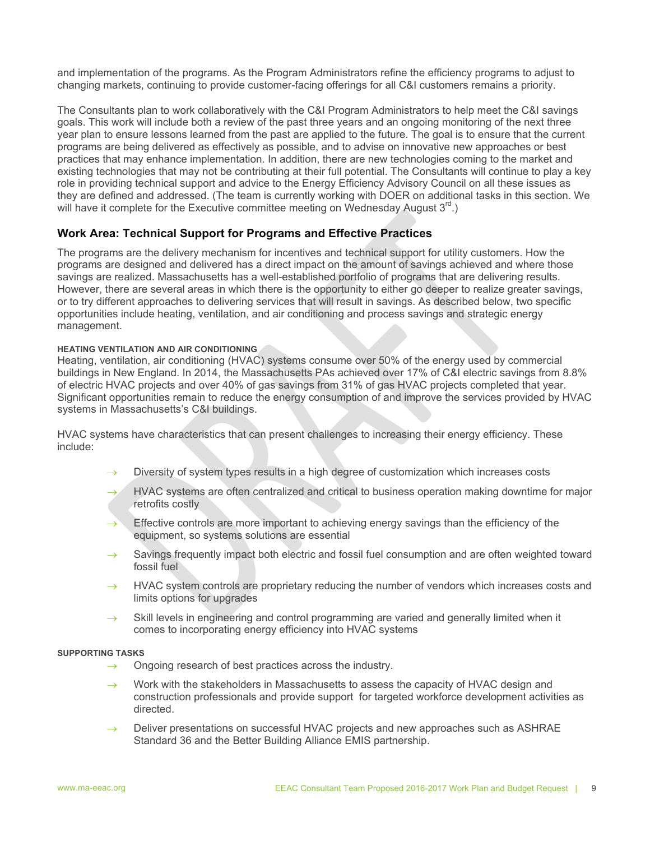and implementation of the programs. As the Program Administrators refine the efficiency programs to adjust to changing markets, continuing to provide customer-facing offerings for all C&I customers remains a priority.

The Consultants plan to work collaboratively with the C&I Program Administrators to help meet the C&I savings goals. This work will include both a review of the past three years and an ongoing monitoring of the next three year plan to ensure lessons learned from the past are applied to the future. The goal is to ensure that the current programs are being delivered as effectively as possible, and to advise on innovative new approaches or best practices that may enhance implementation. In addition, there are new technologies coming to the market and existing technologies that may not be contributing at their full potential. The Consultants will continue to play a key role in providing technical support and advice to the Energy Efficiency Advisory Council on all these issues as they are defined and addressed. (The team is currently working with DOER on additional tasks in this section. We will have it complete for the Executive committee meeting on Wednesday August  $3<sup>rd</sup>$ .)

# **Work Area: Technical Support for Programs and Effective Practices**

The programs are the delivery mechanism for incentives and technical support for utility customers. How the programs are designed and delivered has a direct impact on the amount of savings achieved and where those savings are realized. Massachusetts has a well-established portfolio of programs that are delivering results. However, there are several areas in which there is the opportunity to either go deeper to realize greater savings, or to try different approaches to delivering services that will result in savings. As described below, two specific opportunities include heating, ventilation, and air conditioning and process savings and strategic energy management.

#### **HEATING VENTILATION AND AIR CONDITIONING**

Heating, ventilation, air conditioning (HVAC) systems consume over 50% of the energy used by commercial buildings in New England. In 2014, the Massachusetts PAs achieved over 17% of C&I electric savings from 8.8% of electric HVAC projects and over 40% of gas savings from 31% of gas HVAC projects completed that year. Significant opportunities remain to reduce the energy consumption of and improve the services provided by HVAC systems in Massachusetts's C&I buildings.

HVAC systems have characteristics that can present challenges to increasing their energy efficiency. These include:

- $\rightarrow$  Diversity of system types results in a high degree of customization which increases costs
- HVAC systems are often centralized and critical to business operation making downtime for major retrofits costly
- $\rightarrow$  Effective controls are more important to achieving energy savings than the efficiency of the equipment, so systems solutions are essential
- $\rightarrow$  Savings frequently impact both electric and fossil fuel consumption and are often weighted toward fossil fuel
- $\rightarrow$  HVAC system controls are proprietary reducing the number of vendors which increases costs and limits options for upgrades
- $\rightarrow$  Skill levels in engineering and control programming are varied and generally limited when it comes to incorporating energy efficiency into HVAC systems

#### **SUPPORTING TASKS**

- $\rightarrow$  Ongoing research of best practices across the industry.
- $\rightarrow$  Work with the stakeholders in Massachusetts to assess the capacity of HVAC design and construction professionals and provide support for targeted workforce development activities as directed.
- $\rightarrow$  Deliver presentations on successful HVAC projects and new approaches such as ASHRAE Standard 36 and the Better Building Alliance EMIS partnership.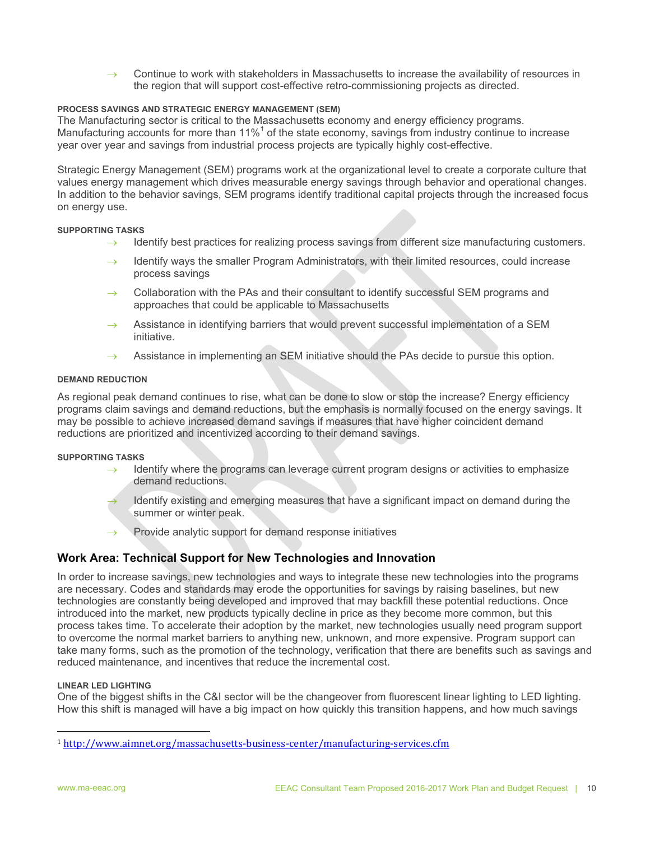$\rightarrow$  Continue to work with stakeholders in Massachusetts to increase the availability of resources in the region that will support cost-effective retro-commissioning projects as directed.

# **PROCESS SAVINGS AND STRATEGIC ENERGY MANAGEMENT (SEM)**

The Manufacturing sector is critical to the Massachusetts economy and energy efficiency programs. Manufacturing accounts for more than 11% $<sup>1</sup>$  of the state economy, savings from industry continue to increase</sup> year over year and savings from industrial process projects are typically highly cost-effective.

Strategic Energy Management (SEM) programs work at the organizational level to create a corporate culture that values energy management which drives measurable energy savings through behavior and operational changes. In addition to the behavior savings, SEM programs identify traditional capital projects through the increased focus on energy use.

#### **SUPPORTING TASKS**

- $\rightarrow$  Identify best practices for realizing process savings from different size manufacturing customers.
- Identify ways the smaller Program Administrators, with their limited resources, could increase process savings
- $\rightarrow$  Collaboration with the PAs and their consultant to identify successful SEM programs and approaches that could be applicable to Massachusetts
- $\rightarrow$  Assistance in identifying barriers that would prevent successful implementation of a SEM initiative.
- $\rightarrow$  Assistance in implementing an SEM initiative should the PAs decide to pursue this option.

#### **DEMAND REDUCTION**

As regional peak demand continues to rise, what can be done to slow or stop the increase? Energy efficiency programs claim savings and demand reductions, but the emphasis is normally focused on the energy savings. It may be possible to achieve increased demand savings if measures that have higher coincident demand reductions are prioritized and incentivized according to their demand savings.

#### **SUPPORTING TASKS**

- $\rightarrow$  Identify where the programs can leverage current program designs or activities to emphasize demand reductions.
- Identify existing and emerging measures that have a significant impact on demand during the summer or winter peak.
- $\rightarrow$  Provide analytic support for demand response initiatives

# **Work Area: Technical Support for New Technologies and Innovation**

In order to increase savings, new technologies and ways to integrate these new technologies into the programs are necessary. Codes and standards may erode the opportunities for savings by raising baselines, but new technologies are constantly being developed and improved that may backfill these potential reductions. Once introduced into the market, new products typically decline in price as they become more common, but this process takes time. To accelerate their adoption by the market, new technologies usually need program support to overcome the normal market barriers to anything new, unknown, and more expensive. Program support can take many forms, such as the promotion of the technology, verification that there are benefits such as savings and reduced maintenance, and incentives that reduce the incremental cost.

# **LINEAR LED LIGHTING**

 

One of the biggest shifts in the C&I sector will be the changeover from fluorescent linear lighting to LED lighting. How this shift is managed will have a big impact on how quickly this transition happens, and how much savings

<sup>1</sup> http://www.aimnet.org/massachusetts‐business‐center/manufacturing‐services.cfm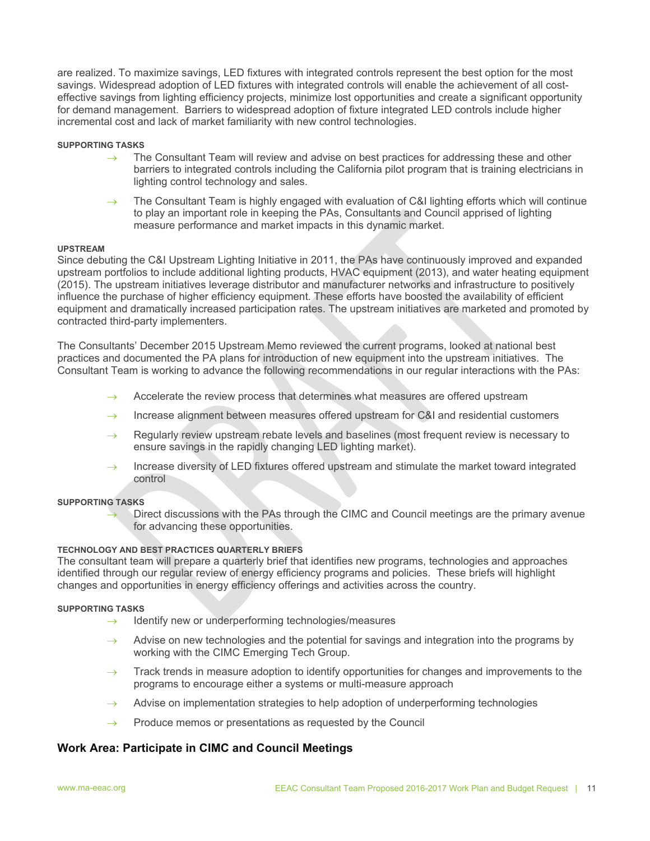are realized. To maximize savings, LED fixtures with integrated controls represent the best option for the most savings. Widespread adoption of LED fixtures with integrated controls will enable the achievement of all costeffective savings from lighting efficiency projects, minimize lost opportunities and create a significant opportunity for demand management. Barriers to widespread adoption of fixture integrated LED controls include higher incremental cost and lack of market familiarity with new control technologies.

#### **SUPPORTING TASKS**

- $\rightarrow$  The Consultant Team will review and advise on best practices for addressing these and other barriers to integrated controls including the California pilot program that is training electricians in lighting control technology and sales.
- $\rightarrow$  The Consultant Team is highly engaged with evaluation of C&I lighting efforts which will continue to play an important role in keeping the PAs, Consultants and Council apprised of lighting measure performance and market impacts in this dynamic market.

#### **UPSTREAM**

Since debuting the C&I Upstream Lighting Initiative in 2011, the PAs have continuously improved and expanded upstream portfolios to include additional lighting products, HVAC equipment (2013), and water heating equipment (2015). The upstream initiatives leverage distributor and manufacturer networks and infrastructure to positively influence the purchase of higher efficiency equipment. These efforts have boosted the availability of efficient equipment and dramatically increased participation rates. The upstream initiatives are marketed and promoted by contracted third-party implementers.

The Consultants' December 2015 Upstream Memo reviewed the current programs, looked at national best practices and documented the PA plans for introduction of new equipment into the upstream initiatives. The Consultant Team is working to advance the following recommendations in our regular interactions with the PAs:

- $\rightarrow$  Accelerate the review process that determines what measures are offered upstream
- $\rightarrow$  Increase alignment between measures offered upstream for C&I and residential customers
- $\rightarrow$  Regularly review upstream rebate levels and baselines (most frequent review is necessary to ensure savings in the rapidly changing LED lighting market).
- $\rightarrow$  Increase diversity of LED fixtures offered upstream and stimulate the market toward integrated control

#### **SUPPORTING TASKS**

 Direct discussions with the PAs through the CIMC and Council meetings are the primary avenue for advancing these opportunities.

#### **TECHNOLOGY AND BEST PRACTICES QUARTERLY BRIEFS**

The consultant team will prepare a quarterly brief that identifies new programs, technologies and approaches identified through our regular review of energy efficiency programs and policies. These briefs will highlight changes and opportunities in energy efficiency offerings and activities across the country.

#### **SUPPORTING TASKS**

- $\rightarrow$  Identify new or underperforming technologies/measures
- Advise on new technologies and the potential for savings and integration into the programs by working with the CIMC Emerging Tech Group.
- $\rightarrow$  Track trends in measure adoption to identify opportunities for changes and improvements to the programs to encourage either a systems or multi-measure approach
- $\rightarrow$  Advise on implementation strategies to help adoption of underperforming technologies
- $\rightarrow$  Produce memos or presentations as requested by the Council

# **Work Area: Participate in CIMC and Council Meetings**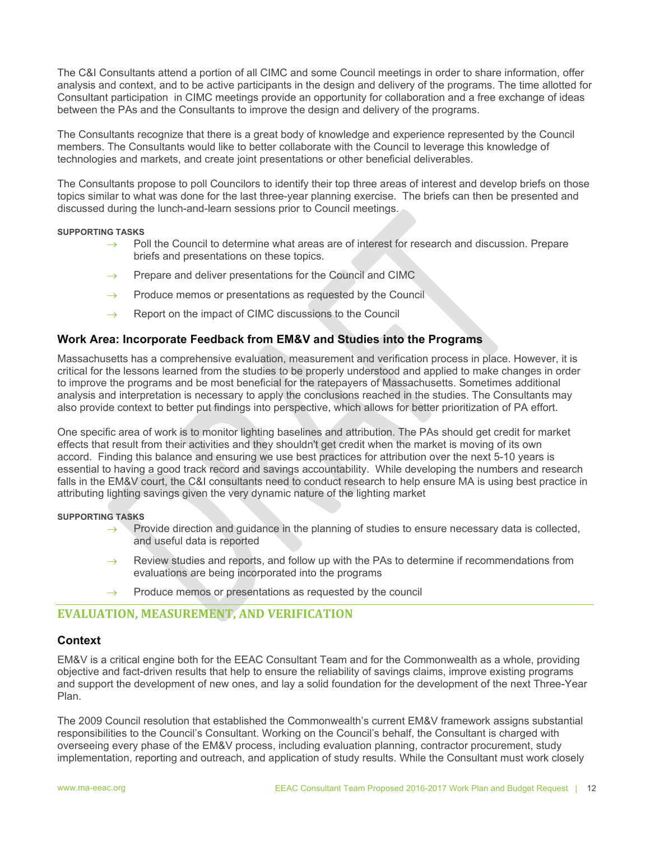The C&I Consultants attend a portion of all CIMC and some Council meetings in order to share information, offer analysis and context, and to be active participants in the design and delivery of the programs. The time allotted for Consultant participation in CIMC meetings provide an opportunity for collaboration and a free exchange of ideas between the PAs and the Consultants to improve the design and delivery of the programs.

The Consultants recognize that there is a great body of knowledge and experience represented by the Council members. The Consultants would like to better collaborate with the Council to leverage this knowledge of technologies and markets, and create joint presentations or other beneficial deliverables.

The Consultants propose to poll Councilors to identify their top three areas of interest and develop briefs on those topics similar to what was done for the last three-year planning exercise. The briefs can then be presented and discussed during the lunch-and-learn sessions prior to Council meetings.

#### **SUPPORTING TASKS**

- Poll the Council to determine what areas are of interest for research and discussion. Prepare briefs and presentations on these topics.
- $\rightarrow$  Prepare and deliver presentations for the Council and CIMC
- $\rightarrow$  Produce memos or presentations as requested by the Council
- $\rightarrow$  Report on the impact of CIMC discussions to the Council

# **Work Area: Incorporate Feedback from EM&V and Studies into the Programs**

Massachusetts has a comprehensive evaluation, measurement and verification process in place. However, it is critical for the lessons learned from the studies to be properly understood and applied to make changes in order to improve the programs and be most beneficial for the ratepayers of Massachusetts. Sometimes additional analysis and interpretation is necessary to apply the conclusions reached in the studies. The Consultants may also provide context to better put findings into perspective, which allows for better prioritization of PA effort.

One specific area of work is to monitor lighting baselines and attribution. The PAs should get credit for market effects that result from their activities and they shouldn't get credit when the market is moving of its own accord. Finding this balance and ensuring we use best practices for attribution over the next 5-10 years is essential to having a good track record and savings accountability. While developing the numbers and research falls in the EM&V court, the C&I consultants need to conduct research to help ensure MA is using best practice in attributing lighting savings given the very dynamic nature of the lighting market

#### **SUPPORTING TASKS**

- $\rightarrow$  Provide direction and guidance in the planning of studies to ensure necessary data is collected, and useful data is reported
- $\rightarrow$  Review studies and reports, and follow up with the PAs to determine if recommendations from evaluations are being incorporated into the programs
- $\rightarrow$  Produce memos or presentations as requested by the council

# **EVALUATION, MEASUREMENT, AND VERIFICATION**

# **Context**

EM&V is a critical engine both for the EEAC Consultant Team and for the Commonwealth as a whole, providing objective and fact-driven results that help to ensure the reliability of savings claims, improve existing programs and support the development of new ones, and lay a solid foundation for the development of the next Three-Year Plan.

The 2009 Council resolution that established the Commonwealth's current EM&V framework assigns substantial responsibilities to the Council's Consultant. Working on the Council's behalf, the Consultant is charged with overseeing every phase of the EM&V process, including evaluation planning, contractor procurement, study implementation, reporting and outreach, and application of study results. While the Consultant must work closely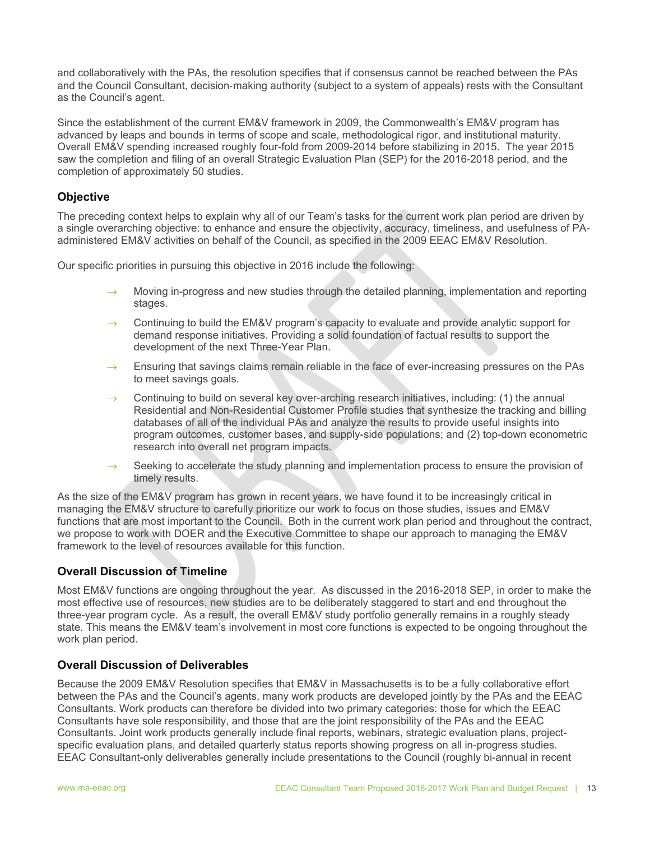and collaboratively with the PAs, the resolution specifies that if consensus cannot be reached between the PAs and the Council Consultant, decision‐making authority (subject to a system of appeals) rests with the Consultant as the Council's agent.

Since the establishment of the current EM&V framework in 2009, the Commonwealth's EM&V program has advanced by leaps and bounds in terms of scope and scale, methodological rigor, and institutional maturity. Overall EM&V spending increased roughly four-fold from 2009-2014 before stabilizing in 2015. The year 2015 saw the completion and filing of an overall Strategic Evaluation Plan (SEP) for the 2016-2018 period, and the completion of approximately 50 studies.

# **Objective**

The preceding context helps to explain why all of our Team's tasks for the current work plan period are driven by a single overarching objective: to enhance and ensure the objectivity, accuracy, timeliness, and usefulness of PAadministered EM&V activities on behalf of the Council, as specified in the 2009 EEAC EM&V Resolution.

Our specific priorities in pursuing this objective in 2016 include the following:

- Moving in-progress and new studies through the detailed planning, implementation and reporting stages.
- $\rightarrow$  Continuing to build the EM&V program's capacity to evaluate and provide analytic support for demand response initiatives. Providing a solid foundation of factual results to support the development of the next Three-Year Plan.
- Ensuring that savings claims remain reliable in the face of ever-increasing pressures on the PAs to meet savings goals.
- $\rightarrow$  Continuing to build on several key over-arching research initiatives, including: (1) the annual Residential and Non-Residential Customer Profile studies that synthesize the tracking and billing databases of all of the individual PAs and analyze the results to provide useful insights into program outcomes, customer bases, and supply-side populations; and (2) top-down econometric research into overall net program impacts.
- $\rightarrow$  Seeking to accelerate the study planning and implementation process to ensure the provision of timely results.

As the size of the EM&V program has grown in recent years, we have found it to be increasingly critical in managing the EM&V structure to carefully prioritize our work to focus on those studies, issues and EM&V functions that are most important to the Council. Both in the current work plan period and throughout the contract, we propose to work with DOER and the Executive Committee to shape our approach to managing the EM&V framework to the level of resources available for this function.

# **Overall Discussion of Timeline**

Most EM&V functions are ongoing throughout the year. As discussed in the 2016-2018 SEP, in order to make the most effective use of resources, new studies are to be deliberately staggered to start and end throughout the three-year program cycle. As a result, the overall EM&V study portfolio generally remains in a roughly steady state. This means the EM&V team's involvement in most core functions is expected to be ongoing throughout the work plan period.

# **Overall Discussion of Deliverables**

Because the 2009 EM&V Resolution specifies that EM&V in Massachusetts is to be a fully collaborative effort between the PAs and the Council's agents, many work products are developed jointly by the PAs and the EEAC Consultants. Work products can therefore be divided into two primary categories: those for which the EEAC Consultants have sole responsibility, and those that are the joint responsibility of the PAs and the EEAC Consultants. Joint work products generally include final reports, webinars, strategic evaluation plans, projectspecific evaluation plans, and detailed quarterly status reports showing progress on all in-progress studies. EEAC Consultant-only deliverables generally include presentations to the Council (roughly bi-annual in recent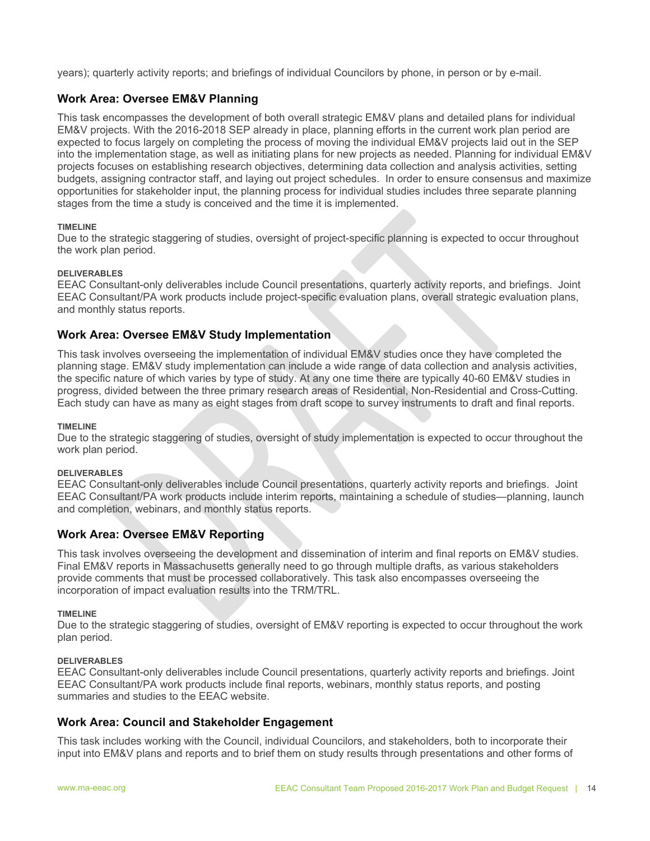years); quarterly activity reports; and briefings of individual Councilors by phone, in person or by e-mail.

# **Work Area: Oversee EM&V Planning**

This task encompasses the development of both overall strategic EM&V plans and detailed plans for individual EM&V projects. With the 2016-2018 SEP already in place, planning efforts in the current work plan period are expected to focus largely on completing the process of moving the individual EM&V projects laid out in the SEP into the implementation stage, as well as initiating plans for new projects as needed. Planning for individual EM&V projects focuses on establishing research objectives, determining data collection and analysis activities, setting budgets, assigning contractor staff, and laying out project schedules. In order to ensure consensus and maximize opportunities for stakeholder input, the planning process for individual studies includes three separate planning stages from the time a study is conceived and the time it is implemented.

#### **TIMELINE**

Due to the strategic staggering of studies, oversight of project-specific planning is expected to occur throughout the work plan period.

# **DELIVERABLES**

EEAC Consultant-only deliverables include Council presentations, quarterly activity reports, and briefings. Joint EEAC Consultant/PA work products include project-specific evaluation plans, overall strategic evaluation plans, and monthly status reports.

# **Work Area: Oversee EM&V Study Implementation**

This task involves overseeing the implementation of individual EM&V studies once they have completed the planning stage. EM&V study implementation can include a wide range of data collection and analysis activities, the specific nature of which varies by type of study. At any one time there are typically 40-60 EM&V studies in progress, divided between the three primary research areas of Residential, Non-Residential and Cross-Cutting. Each study can have as many as eight stages from draft scope to survey instruments to draft and final reports.

#### **TIMELINE**

Due to the strategic staggering of studies, oversight of study implementation is expected to occur throughout the work plan period.

#### **DELIVERABLES**

EEAC Consultant-only deliverables include Council presentations, quarterly activity reports and briefings. Joint EEAC Consultant/PA work products include interim reports, maintaining a schedule of studies—planning, launch and completion, webinars, and monthly status reports.

# **Work Area: Oversee EM&V Reporting**

This task involves overseeing the development and dissemination of interim and final reports on EM&V studies. Final EM&V reports in Massachusetts generally need to go through multiple drafts, as various stakeholders provide comments that must be processed collaboratively. This task also encompasses overseeing the incorporation of impact evaluation results into the TRM/TRL.

#### **TIMELINE**

Due to the strategic staggering of studies, oversight of EM&V reporting is expected to occur throughout the work plan period.

#### **DELIVERABLES**

EEAC Consultant-only deliverables include Council presentations, quarterly activity reports and briefings. Joint EEAC Consultant/PA work products include final reports, webinars, monthly status reports, and posting summaries and studies to the EEAC website.

# **Work Area: Council and Stakeholder Engagement**

This task includes working with the Council, individual Councilors, and stakeholders, both to incorporate their input into EM&V plans and reports and to brief them on study results through presentations and other forms of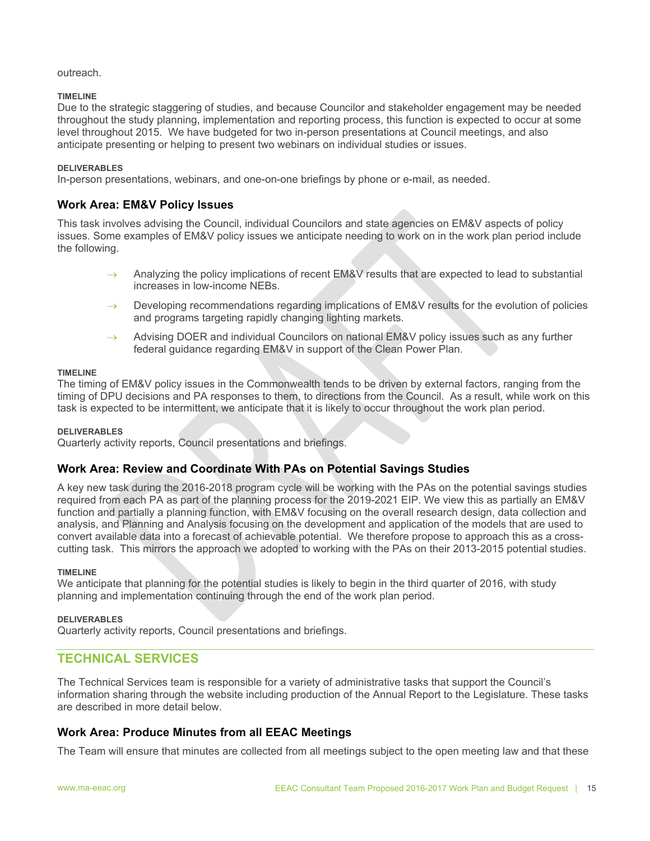#### outreach.

#### **TIMELINE**

Due to the strategic staggering of studies, and because Councilor and stakeholder engagement may be needed throughout the study planning, implementation and reporting process, this function is expected to occur at some level throughout 2015. We have budgeted for two in-person presentations at Council meetings, and also anticipate presenting or helping to present two webinars on individual studies or issues.

#### **DELIVERABLES**

In-person presentations, webinars, and one-on-one briefings by phone or e-mail, as needed.

# **Work Area: EM&V Policy Issues**

This task involves advising the Council, individual Councilors and state agencies on EM&V aspects of policy issues. Some examples of EM&V policy issues we anticipate needing to work on in the work plan period include the following.

- Analyzing the policy implications of recent EM&V results that are expected to lead to substantial increases in low-income NEBs.
- $\rightarrow$  Developing recommendations regarding implications of EM&V results for the evolution of policies and programs targeting rapidly changing lighting markets.
- $\rightarrow$  Advising DOER and individual Councilors on national EM&V policy issues such as any further federal guidance regarding EM&V in support of the Clean Power Plan.

#### **TIMELINE**

The timing of EM&V policy issues in the Commonwealth tends to be driven by external factors, ranging from the timing of DPU decisions and PA responses to them, to directions from the Council. As a result, while work on this task is expected to be intermittent, we anticipate that it is likely to occur throughout the work plan period.

#### **DELIVERABLES**

Quarterly activity reports, Council presentations and briefings.

# **Work Area: Review and Coordinate With PAs on Potential Savings Studies**

A key new task during the 2016-2018 program cycle will be working with the PAs on the potential savings studies required from each PA as part of the planning process for the 2019-2021 EIP. We view this as partially an EM&V function and partially a planning function, with EM&V focusing on the overall research design, data collection and analysis, and Planning and Analysis focusing on the development and application of the models that are used to convert available data into a forecast of achievable potential. We therefore propose to approach this as a crosscutting task. This mirrors the approach we adopted to working with the PAs on their 2013-2015 potential studies.

#### **TIMELINE**

We anticipate that planning for the potential studies is likely to begin in the third quarter of 2016, with study planning and implementation continuing through the end of the work plan period.

#### **DELIVERABLES**

Quarterly activity reports, Council presentations and briefings.

# **TECHNICAL SERVICES**

The Technical Services team is responsible for a variety of administrative tasks that support the Council's information sharing through the website including production of the Annual Report to the Legislature. These tasks are described in more detail below.

# **Work Area: Produce Minutes from all EEAC Meetings**

The Team will ensure that minutes are collected from all meetings subject to the open meeting law and that these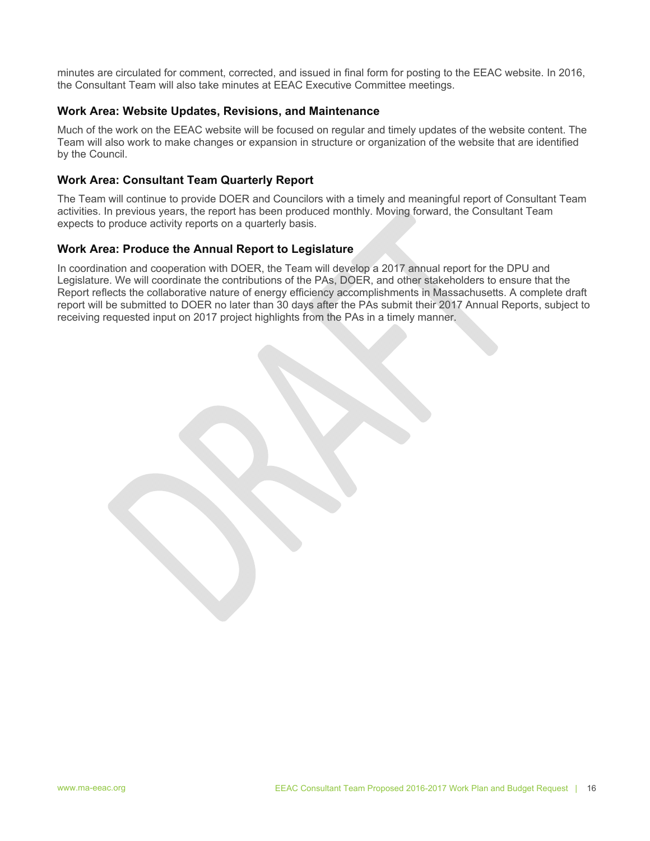minutes are circulated for comment, corrected, and issued in final form for posting to the EEAC website. In 2016, the Consultant Team will also take minutes at EEAC Executive Committee meetings.

# **Work Area: Website Updates, Revisions, and Maintenance**

Much of the work on the EEAC website will be focused on regular and timely updates of the website content. The Team will also work to make changes or expansion in structure or organization of the website that are identified by the Council.

# **Work Area: Consultant Team Quarterly Report**

The Team will continue to provide DOER and Councilors with a timely and meaningful report of Consultant Team activities. In previous years, the report has been produced monthly. Moving forward, the Consultant Team expects to produce activity reports on a quarterly basis.

# **Work Area: Produce the Annual Report to Legislature**

In coordination and cooperation with DOER, the Team will develop a 2017 annual report for the DPU and Legislature. We will coordinate the contributions of the PAs, DOER, and other stakeholders to ensure that the Report reflects the collaborative nature of energy efficiency accomplishments in Massachusetts. A complete draft report will be submitted to DOER no later than 30 days after the PAs submit their 2017 Annual Reports, subject to receiving requested input on 2017 project highlights from the PAs in a timely manner.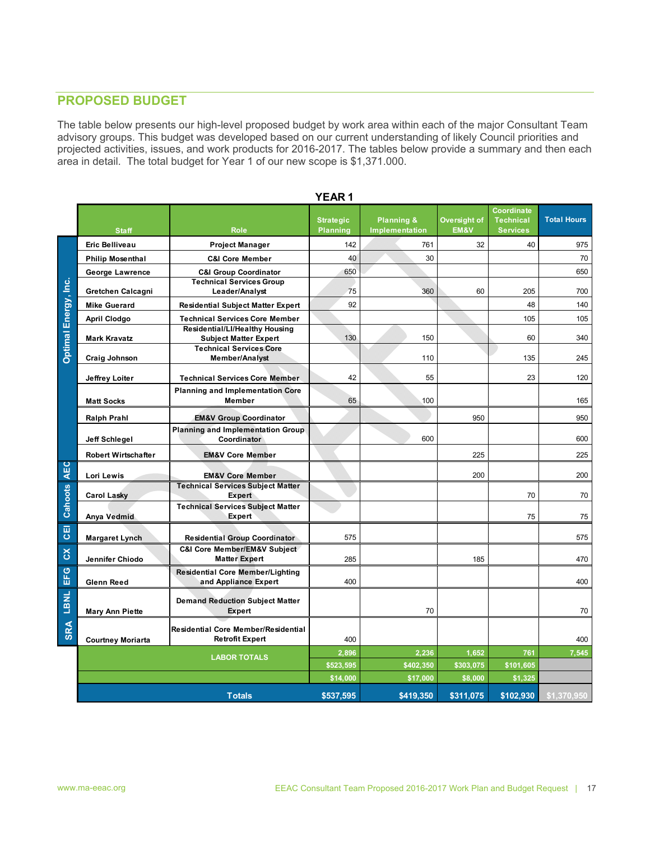# **PROPOSED BUDGET**

The table below presents our high-level proposed budget by work area within each of the major Consultant Team advisory groups. This budget was developed based on our current understanding of likely Council priorities and projected activities, issues, and work products for 2016-2017. The tables below provide a summary and then each area in detail. The total budget for Year 1 of our new scope is \$1,371.000.

|                      |                            |                                                                                     | <b>YEAR</b> 1                       |                                         |                      |                                                   |                    |
|----------------------|----------------------------|-------------------------------------------------------------------------------------|-------------------------------------|-----------------------------------------|----------------------|---------------------------------------------------|--------------------|
|                      | <b>Staff</b>               | <b>Role</b>                                                                         | <b>Strategic</b><br><b>Planning</b> | <b>Planning &amp;</b><br>Implementation | Oversight of<br>EM&V | Coordinate<br><b>Technical</b><br><b>Services</b> | <b>Total Hours</b> |
|                      | <b>Eric Belliveau</b>      | Project Manager                                                                     | 142                                 | 761                                     | 32                   | 40                                                | 975                |
| Optimal Energy, Inc. | <b>Philip Mosenthal</b>    | <b>C&amp;I Core Member</b>                                                          | 40                                  | 30                                      |                      |                                                   | 70                 |
|                      | <b>George Lawrence</b>     | <b>C&amp;I Group Coordinator</b>                                                    | 650                                 |                                         |                      |                                                   | 650                |
|                      | Gretchen Calcagni          | <b>Technical Services Group</b><br>Leader/Analyst                                   | 75                                  | 360                                     | 60                   | 205                                               | 700                |
|                      | <b>Mike Guerard</b>        | <b>Residential Subject Matter Expert</b>                                            | 92                                  |                                         |                      | 48                                                | 140                |
|                      | <b>April Clodgo</b>        | <b>Technical Services Core Member</b>                                               |                                     |                                         |                      | 105                                               | 105                |
|                      | <b>Mark Kravatz</b>        | Residential/Ll/Healthy Housing<br><b>Subject Matter Expert</b>                      | 130                                 | 150                                     |                      | 60                                                | 340                |
|                      | Craig Johnson              | <b>Technical Services Core</b><br><b>Member/Analyst</b>                             |                                     | 110                                     |                      | 135                                               | 245                |
|                      | Jeffrey Loiter             | <b>Technical Services Core Member</b>                                               | 42                                  | 55                                      |                      | 23                                                | 120                |
|                      | <b>Matt Socks</b>          | <b>Planning and Implementation Core</b><br><b>Member</b>                            | 65                                  | 100                                     |                      |                                                   | 165                |
|                      | <b>Ralph Prahl</b>         | <b>EM&amp;V Group Coordinator</b>                                                   |                                     |                                         | 950                  |                                                   | 950                |
|                      | Jeff Schlegel              | <b>Planning and Implementation Group</b><br>Coordinator                             |                                     | 600                                     |                      |                                                   | 600                |
|                      | <b>Robert Wirtschafter</b> | <b>EM&amp;V Core Member</b>                                                         |                                     |                                         | 225                  |                                                   | 225                |
| <b>AEC</b>           | Lori Lewis                 | <b>EM&amp;V Core Member</b>                                                         |                                     |                                         | 200                  |                                                   | 200                |
|                      | <b>Carol Lasky</b>         | <b>Technical Services Subject Matter</b><br><b>Expert</b>                           |                                     |                                         |                      | 70                                                | 70                 |
| <b>Cahoots</b>       | Anya Vedmid                | <b>Technical Services Subject Matter</b><br>Expert                                  |                                     |                                         |                      | 75                                                | 75                 |
| GEI                  |                            |                                                                                     |                                     |                                         |                      |                                                   |                    |
|                      | <b>Margaret Lynch</b>      | <b>Residential Group Coordinator</b><br><b>C&amp;I Core Member/EM&amp;V Subject</b> | 575                                 |                                         |                      |                                                   | 575                |
| $\mathsf{S}$         | Jennifer Chiodo            | <b>Matter Expert</b>                                                                | 285                                 |                                         | 185                  |                                                   | 470                |
| EFG                  | <b>Glenn Reed</b>          | <b>Residential Core Member/Lighting</b><br>and Appliance Expert                     | 400                                 |                                         |                      |                                                   | 400                |
| SRA LBNL             | <b>Mary Ann Piette</b>     | <b>Demand Reduction Subject Matter</b><br>Expert                                    |                                     | 70                                      |                      |                                                   | 70                 |
|                      | <b>Courtney Moriarta</b>   | <b>Residential Core Member/Residential</b><br><b>Retrofit Expert</b>                | 400                                 |                                         |                      |                                                   | 400                |
|                      | <b>LABOR TOTALS</b>        |                                                                                     | 2,896                               | 2,236                                   | 1,652                | 761                                               | 7,545              |
|                      |                            |                                                                                     | \$523,595                           | \$402,350                               | \$303,075            | \$101,605                                         |                    |
|                      |                            |                                                                                     | \$14,000                            | \$17,000                                | \$8,000              | \$1,325                                           |                    |
|                      | <b>Totals</b>              |                                                                                     | \$537,595                           | \$419.350                               | \$311,075            | \$102.930                                         | \$1,370,950        |

# **YEAR 1**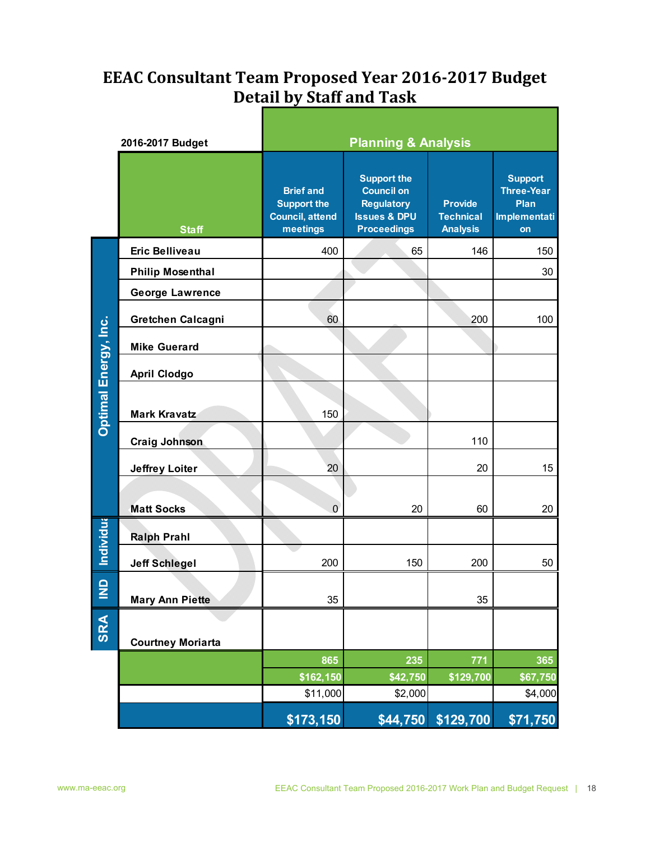# **EEAC Consultant Team Proposed Year 2016‐2017 Budget Detail by Staff and Task**

|                      | 2016-2017 Budget         | <b>Planning &amp; Analysis</b>                                               |                                                                                                               |                                                       |                                                                          |  |  |  |  |
|----------------------|--------------------------|------------------------------------------------------------------------------|---------------------------------------------------------------------------------------------------------------|-------------------------------------------------------|--------------------------------------------------------------------------|--|--|--|--|
|                      | <b>Staff</b>             | <b>Brief and</b><br><b>Support the</b><br><b>Council, attend</b><br>meetings | <b>Support the</b><br><b>Council on</b><br><b>Regulatory</b><br><b>Issues &amp; DPU</b><br><b>Proceedings</b> | <b>Provide</b><br><b>Technical</b><br><b>Analysis</b> | <b>Support</b><br><b>Three-Year</b><br>Plan<br><b>Implementati</b><br>on |  |  |  |  |
|                      | <b>Eric Belliveau</b>    | 400                                                                          | 65                                                                                                            | 146                                                   | 150                                                                      |  |  |  |  |
|                      | <b>Philip Mosenthal</b>  |                                                                              |                                                                                                               |                                                       | 30                                                                       |  |  |  |  |
|                      | <b>George Lawrence</b>   |                                                                              |                                                                                                               |                                                       |                                                                          |  |  |  |  |
|                      | Gretchen Calcagni        | 60                                                                           |                                                                                                               | 200                                                   | 100                                                                      |  |  |  |  |
|                      | <b>Mike Guerard</b>      |                                                                              |                                                                                                               |                                                       |                                                                          |  |  |  |  |
|                      | <b>April Clodgo</b>      |                                                                              |                                                                                                               |                                                       |                                                                          |  |  |  |  |
| Optimal Energy, Inc. | <b>Mark Kravatz</b>      | 150                                                                          |                                                                                                               |                                                       |                                                                          |  |  |  |  |
|                      | <b>Craig Johnson</b>     |                                                                              |                                                                                                               | 110                                                   |                                                                          |  |  |  |  |
|                      | <b>Jeffrey Loiter</b>    | 20                                                                           |                                                                                                               | 20                                                    | 15                                                                       |  |  |  |  |
|                      | <b>Matt Socks</b>        | $\mathbf 0$                                                                  | 20                                                                                                            | 60                                                    | 20                                                                       |  |  |  |  |
| <b>Individua</b>     | <b>Ralph Prahl</b>       |                                                                              |                                                                                                               |                                                       |                                                                          |  |  |  |  |
|                      | <b>Jeff Schlegel</b>     | 200                                                                          | 150                                                                                                           | 200                                                   | 50                                                                       |  |  |  |  |
| $\frac{1}{2}$        | <b>Mary Ann Piette</b>   | 35                                                                           |                                                                                                               | 35                                                    |                                                                          |  |  |  |  |
| SRA                  | <b>Courtney Moriarta</b> |                                                                              |                                                                                                               |                                                       |                                                                          |  |  |  |  |
|                      |                          | 865                                                                          | 235                                                                                                           | 771                                                   | 365                                                                      |  |  |  |  |
|                      |                          | \$162,150                                                                    | \$42,750                                                                                                      | \$129,700                                             | \$67,750                                                                 |  |  |  |  |
|                      |                          | \$11,000                                                                     | \$2,000                                                                                                       |                                                       | \$4,000                                                                  |  |  |  |  |
|                      |                          | \$173,150                                                                    | \$44,750                                                                                                      | \$129,700                                             | \$71,750                                                                 |  |  |  |  |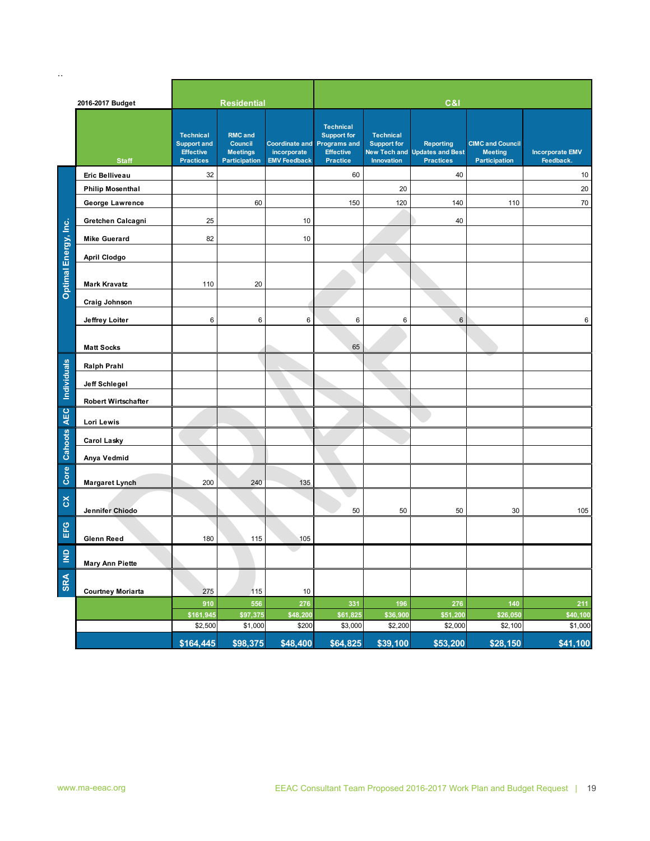|                      | 2016-2017 Budget         |                                                                                | <b>Residential</b>                                                   |                                    |                                                                                                              |                                                      | C&I                                                                          |                                                                   |                                     |
|----------------------|--------------------------|--------------------------------------------------------------------------------|----------------------------------------------------------------------|------------------------------------|--------------------------------------------------------------------------------------------------------------|------------------------------------------------------|------------------------------------------------------------------------------|-------------------------------------------------------------------|-------------------------------------|
|                      | <b>Staff</b>             | <b>Technical</b><br><b>Support and</b><br><b>Effective</b><br><b>Practices</b> | <b>RMC</b> and<br>Council<br><b>Meetings</b><br><b>Participation</b> | incorporate<br><b>EMV Feedback</b> | <b>Technical</b><br><b>Support for</b><br>Coordinate and Programs and<br><b>Effective</b><br><b>Practice</b> | <b>Technical</b><br><b>Support for</b><br>Innovation | <b>Reporting</b><br><b>New Tech and Updates and Best</b><br><b>Practices</b> | <b>CIMC and Council</b><br><b>Meeting</b><br><b>Participation</b> | <b>Incorporate EMV</b><br>Feedback. |
|                      | Eric Belliveau           | 32                                                                             |                                                                      |                                    | 60                                                                                                           |                                                      | 40                                                                           |                                                                   | 10                                  |
|                      | <b>Philip Mosenthal</b>  |                                                                                |                                                                      |                                    |                                                                                                              | 20                                                   |                                                                              |                                                                   | 20                                  |
|                      | George Lawrence          |                                                                                | 60                                                                   |                                    | 150                                                                                                          | 120                                                  | 140                                                                          | 110                                                               | 70                                  |
|                      | Gretchen Calcagni        | 25                                                                             |                                                                      | 10                                 |                                                                                                              |                                                      | 40                                                                           |                                                                   |                                     |
|                      | <b>Mike Guerard</b>      | 82                                                                             |                                                                      | 10                                 |                                                                                                              |                                                      |                                                                              |                                                                   |                                     |
|                      |                          |                                                                                |                                                                      |                                    |                                                                                                              |                                                      |                                                                              |                                                                   |                                     |
|                      | April Clodgo             |                                                                                |                                                                      |                                    |                                                                                                              |                                                      |                                                                              |                                                                   |                                     |
| Optimal Energy, Inc. | <b>Mark Kravatz</b>      | 110                                                                            | 20                                                                   |                                    |                                                                                                              |                                                      |                                                                              |                                                                   |                                     |
|                      | Craig Johnson            |                                                                                |                                                                      |                                    |                                                                                                              |                                                      |                                                                              |                                                                   |                                     |
|                      | Jeffrey Loiter           | 6                                                                              | $\,6\,$                                                              | 6                                  | 6                                                                                                            | $\,6\,$                                              | $6\,$                                                                        |                                                                   | 6                                   |
|                      | <b>Matt Socks</b>        |                                                                                |                                                                      |                                    | 65                                                                                                           |                                                      |                                                                              |                                                                   |                                     |
|                      | <b>Ralph Prahl</b>       |                                                                                |                                                                      |                                    |                                                                                                              |                                                      |                                                                              |                                                                   |                                     |
| <b>Individuals</b>   | Jeff Schlegel            |                                                                                |                                                                      |                                    |                                                                                                              |                                                      |                                                                              |                                                                   |                                     |
|                      | Robert Wirtschafter      |                                                                                |                                                                      |                                    |                                                                                                              |                                                      |                                                                              |                                                                   |                                     |
| <b>AEC</b>           | Lori Lewis               |                                                                                |                                                                      |                                    |                                                                                                              |                                                      |                                                                              |                                                                   |                                     |
| <b>Cahoots</b>       | <b>Carol Lasky</b>       |                                                                                |                                                                      |                                    |                                                                                                              |                                                      |                                                                              |                                                                   |                                     |
|                      | Anya Vedmid              |                                                                                |                                                                      |                                    |                                                                                                              |                                                      |                                                                              |                                                                   |                                     |
| Core                 | <b>Margaret Lynch</b>    | 200                                                                            | 240                                                                  | 135                                |                                                                                                              |                                                      |                                                                              |                                                                   |                                     |
| $\delta$             | Jennifer Chiodo          |                                                                                |                                                                      |                                    | 50                                                                                                           | 50                                                   | 50                                                                           | 30                                                                | 105                                 |
| EFG                  | <b>Glenn Reed</b>        | 180                                                                            | 115                                                                  | 105                                |                                                                                                              |                                                      |                                                                              |                                                                   |                                     |
| $\frac{1}{2}$        | <b>Mary Ann Piette</b>   |                                                                                |                                                                      |                                    |                                                                                                              |                                                      |                                                                              |                                                                   |                                     |
| <b>SRA</b>           | <b>Courtney Moriarta</b> | 275                                                                            | 115                                                                  | 10                                 |                                                                                                              |                                                      |                                                                              |                                                                   |                                     |
|                      |                          | 910                                                                            | 556                                                                  | 276                                | 331                                                                                                          | 196                                                  | 276                                                                          | 140                                                               | $211$                               |
|                      |                          | \$161,945                                                                      | \$97,375                                                             | \$48,200                           | \$61,825                                                                                                     | \$36,900                                             | \$51,200                                                                     | \$26,050                                                          | \$40,100                            |
|                      |                          | \$2,500                                                                        | \$1,000                                                              | \$200                              | \$3,000                                                                                                      | \$2,200                                              | \$2,000                                                                      | \$2,100                                                           | \$1,000                             |
|                      |                          | \$164,445                                                                      | \$98,375                                                             | \$48,400                           | \$64,825                                                                                                     | \$39,100                                             | \$53,200                                                                     | \$28,150                                                          | \$41,100                            |